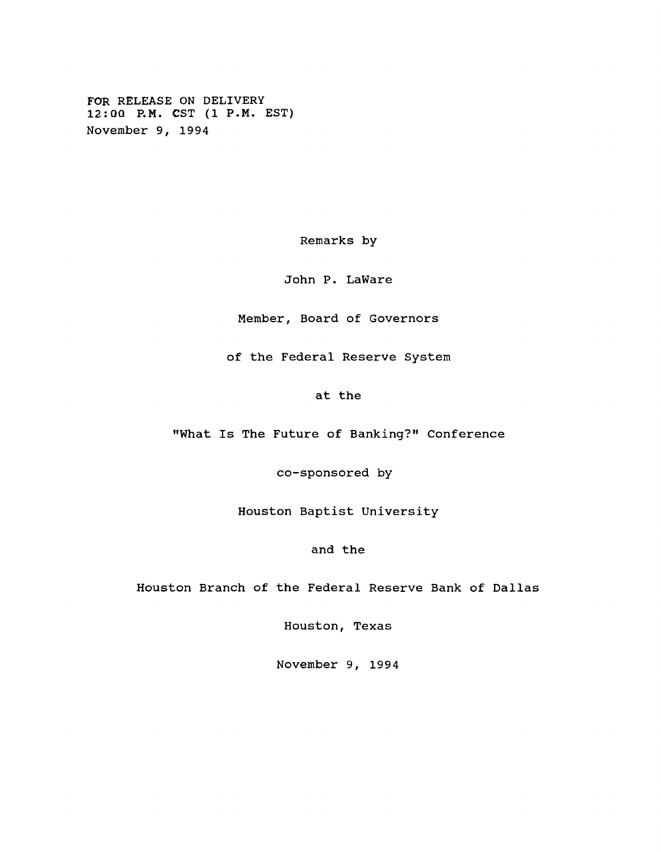**FOR RELEASE ON DELIVERY 12:0Q P.M. CST (1 P.M. EST) November 9, 1994**

**Remarks by**

**John P. LaWare**

**Member, Board of Governors**

**of the Federal Reserve System**

**at the**

**"What Is The Future of Banking?" Conference**

**co-sponsored by**

**Houston Baptist University**

**and the**

**Houston Branch of the Federal Reserve Bank of Dallas**

**Houston, Texas**

**November 9, 1994**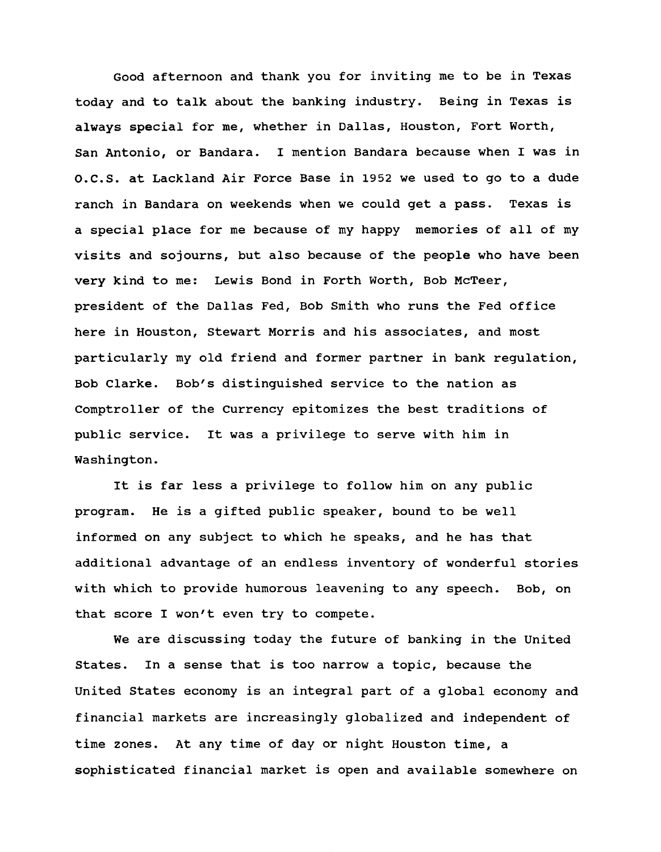**Good afternoon and thank you for inviting me to be in Texas today and to talk about the banking industry. Being in Texas is always special for me, whether in Dallas, Houston, Fort Worth, San Antonio, or Bandara. I mention Bandara because when I was in O.C.S. at Lackland Air Force Base in 1952 we used to go to a dude ranch in Bandara on weekends when we could get a pass. Texas is a special place for me because of my happy memories of all of my visits and sojourns, but also because of the people who have been very kind to me: Lewis Bond in Forth Worth, Bob McTeer, president of the Dallas Fed, Bob Smith who runs the Fed office here in Houston, Stewart Morris and his associates, and most particularly my old friend and former partner in bank regulation, Bob Clarke. Bob's distinguished service to the nation as Comptroller of the Currency epitomizes the best traditions of public service. It was a privilege to serve with him in Washington.**

**It is far less a privilege to follow him on any public program. He is a gifted public speaker, bound to be well informed on any subject to which he speaks, and he has that additional advantage of an endless inventory of wonderful stories with which to provide humorous leavening to any speech. Bob, on that score I won't even try to compete.**

**We are discussing today the future of banking in the United States. In a sense that is too narrow a topic, because the United States economy is an integral part of a global economy and financial markets are increasingly globalized and independent of time zones. At any time of day or night Houston time, a sophisticated financial market is open and available somewhere on**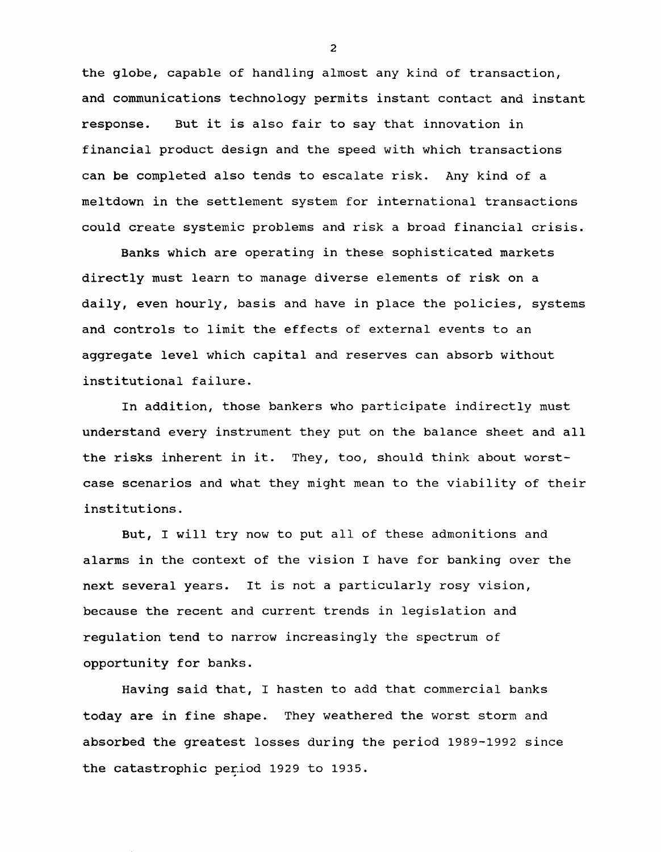**the globe, capable of handling almost any kind of transaction, and communications technology permits instant contact and instant response. But it is also fair to say that innovation in financial product design and the speed with which transactions can be completed also tends to escalate risk. Any kind of a meltdown in the settlement system for international transactions could create systemic problems and risk a broad financial crisis.**

**Banks which are operating in these sophisticated markets directly must learn to manage diverse elements of risk on a daily, even hourly, basis and have in place the policies, systems and controls to limit the effects of external events to an aggregate level which capital and reserves can absorb without institutional failure.**

**In addition, those bankers who participate indirectly must understand every instrument they put on the balance sheet and all the risks inherent in it. They, too, should think about worstcase scenarios and what they might mean to the viability of their institutions.**

**But, I will try now to put all of these admonitions and alarms in the context of the vision I have for banking over the next several years. It is not a particularly rosy vision, because the recent and current trends in legislation and regulation tend to narrow increasingly the spectrum of opportunity for banks.**

**Having said that, I hasten to add that commercial banks today are in fine shape. They weathered the worst storm and absorbed the greatest losses during the period 1989-1992 since** the catastrophic period 1929 to 1935.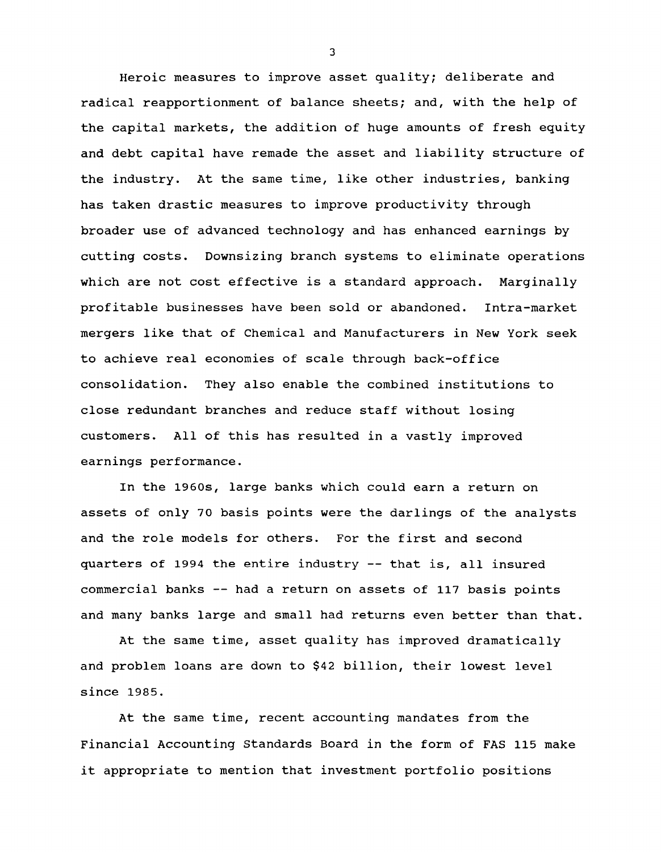**Heroic measures to improve asset quality; deliberate and radical reapportionment of balance sheets; and, with the help of the capital markets, the addition of huge amounts of fresh equity and debt capital have remade the asset and liability structure of the industry. At the same time, like other industries, banking has taken drastic measures to improve productivity through broader use of advanced technology and has enhanced earnings by cutting costs. Downsizing branch systems to eliminate operations which are not cost effective is a standard approach. Marginally profitable businesses have been sold or abandoned. Intra-market mergers like that of Chemical and Manufacturers in New York seek to achieve real economies of scale through back-office consolidation. They also enable the combined institutions to close redundant branches and reduce staff without losing customers. All of this has resulted in a vastly improved earnings performance.**

**In the 1960s, large banks which could earn a return on assets of only 7 0 basis points were the darlings of the analysts and the role models for others. For the first and second quarters of 1994 the entire industry — that is, all insured commercial banks — had a return on assets of 117 basis points and many banks large and small had returns even better than that.**

**At the same time, asset quality has improved dramatically and problem loans are down to \$42 billion, their lowest level since 1985.**

**At the same time, recent accounting mandates from the Financial Accounting Standards Board in the form of FAS 115 make it appropriate to mention that investment portfolio positions**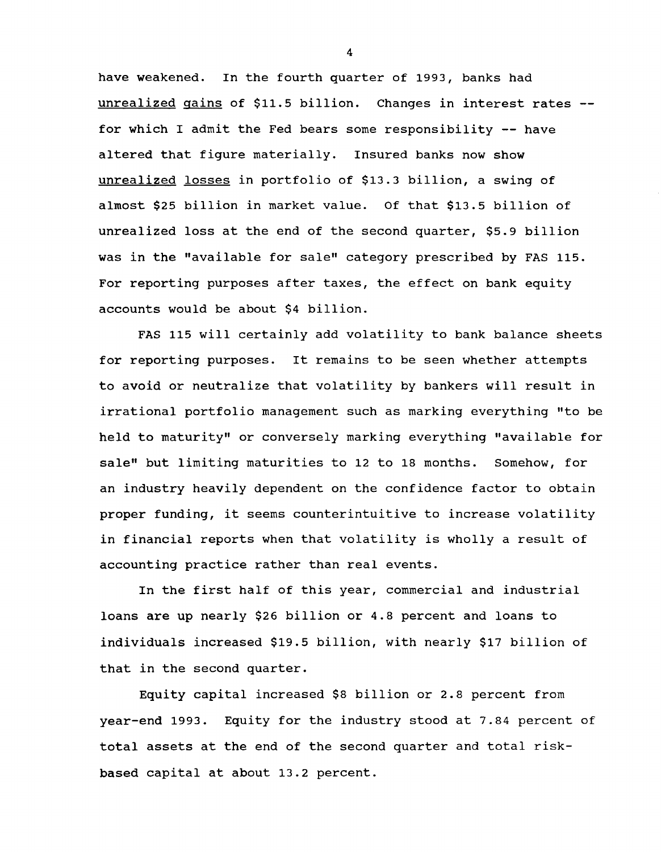**have weakened. In the fourth quarter of 1993, banks had unrealized gains of \$11.5 billion. Changes in interest rates for which I admit the Fed bears some responsibility — have altered that figure materially. Insured banks now show unrealized losses in portfolio of \$13.3 billion, a swing of almost \$25 billion in market value. Of that \$13.5 billion of unrealized loss at the end of the second quarter, \$5.9 billion was in the "available for sale" category prescribed by FAS 115. For reporting purposes after taxes, the effect on bank equity accounts would be about \$4 billion.**

**FAS 115 will certainly add volatility to bank balance sheets for reporting purposes. It remains to be seen whether attempts to avoid or neutralize that volatility by bankers will result in irrational portfolio management such as marking everything "to be held to maturity" or conversely marking everything "available for sale" but limiting maturities to 12 to 18 months. Somehow, for an industry heavily dependent on the confidence factor to obtain proper funding, it seems counterintuitive to increase volatility in financial reports when that volatility is wholly a result of accounting practice rather than real events.**

**In the first half of this year, commercial and industrial loans are up nearly \$26 billion or 4.8 percent and loans to individuals increased \$19.5 billion, with nearly \$17 billion of that in the second quarter.**

**Equity capital increased \$8 billion or 2.8 percent from year-end 1993. Equity for the industry stood at 7.84 percent of total assets at the end of the second quarter and total riskbased capital at about 13.2 percent.**

 $\overline{\mathbf{4}}$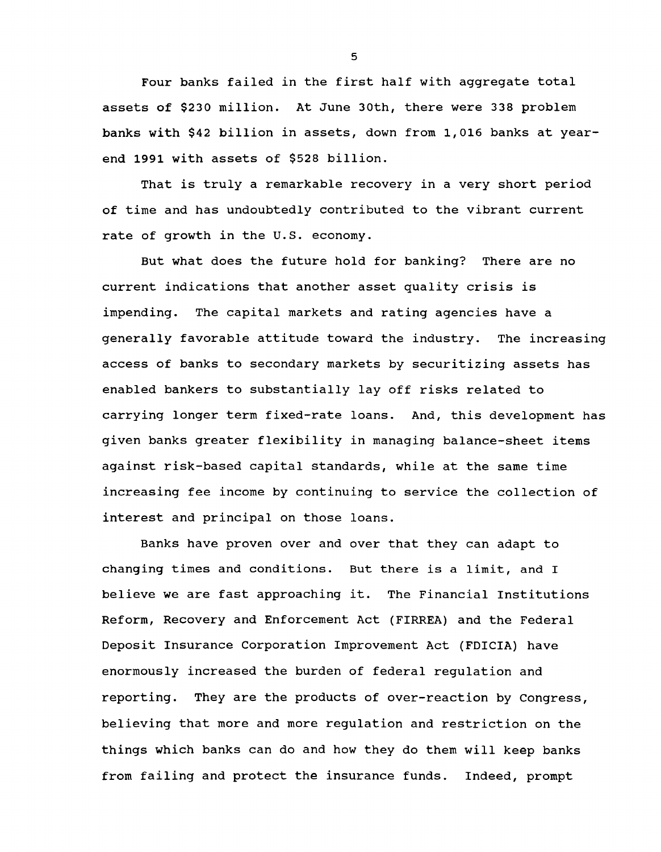**Four banks failed in the first half with aggregate total assets of \$230 million. At June 30th, there were 338 problem banks with \$42 billion in assets, down from 1,016 banks at yearend 1991 with assets of \$528 billion.**

**That is truly a remarkable recovery in a very short period of time and has undoubtedly contributed to the vibrant current rate of growth in the U.S. economy.**

**But what does the future hold for banking? There are no current indications that another asset quality crisis is impending. The capital markets and rating agencies have a generally favorable attitude toward the industry. The increasing access of banks to secondary markets by securitizing assets has enabled bankers to substantially lay off risks related to carrying longer term fixed-rate loans. And, this development has given banks greater flexibility in managing balance-sheet items against risk-based capital standards, while at the same time increasing fee income by continuing to service the collection of interest and principal on those loans.**

**Banks have proven over and over that they can adapt to changing times and conditions. But there is a limit, and I believe we are fast approaching it. The Financial Institutions Reform, Recovery and Enforcement Act (FIRREA) and the Federal Deposit Insurance Corporation Improvement Act (FDICIA) have enormously increased the burden of federal regulation and reporting. They are the products of over-reaction by Congress, believing that more and more regulation and restriction on the things which banks can do and how they do them will keep banks from failing and protect the insurance funds. Indeed, prompt**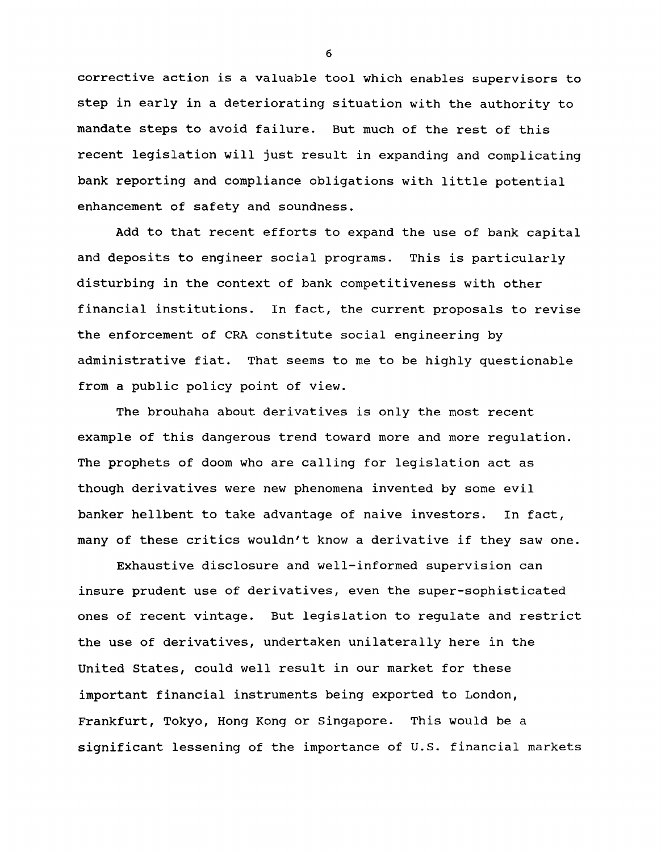**corrective action is a valuable tool which enables supervisors to step in early in a deteriorating situation with the authority to mandate steps to avoid failure. But much of the rest of this recent legislation will just result in expanding and complicating bank reporting and compliance obligations with little potential enhancement of safety and soundness.**

**Add to that recent efforts to expand the use of bank capital and deposits to engineer social programs. This is particularly disturbing in the context of bank competitiveness with other financial institutions. In fact, the current proposals to revise the enforcement of CRA constitute social engineering by administrative fiat. That seems to me to be highly questionable from a public policy point of view.**

**The brouhaha about derivatives is only the most recent example of this dangerous trend toward more and more regulation. The prophets of doom who are calling for legislation act as though derivatives were new phenomena invented by some evil banker hellbent to take advantage of naive investors. In fact, many of these critics wouldn't know a derivative if they saw one.**

**Exhaustive disclosure and well-informed supervision can insure prudent use of derivatives, even the super-sophisticated ones of recent vintage. But legislation to regulate and restrict the use of derivatives, undertaken unilaterally here in the United States, could well result in our market for these important financial instruments being exported to London, Frankfurt, Tokyo, Hong Kong or Singapore. This would be a significant lessening of the importance of U.S. financial markets**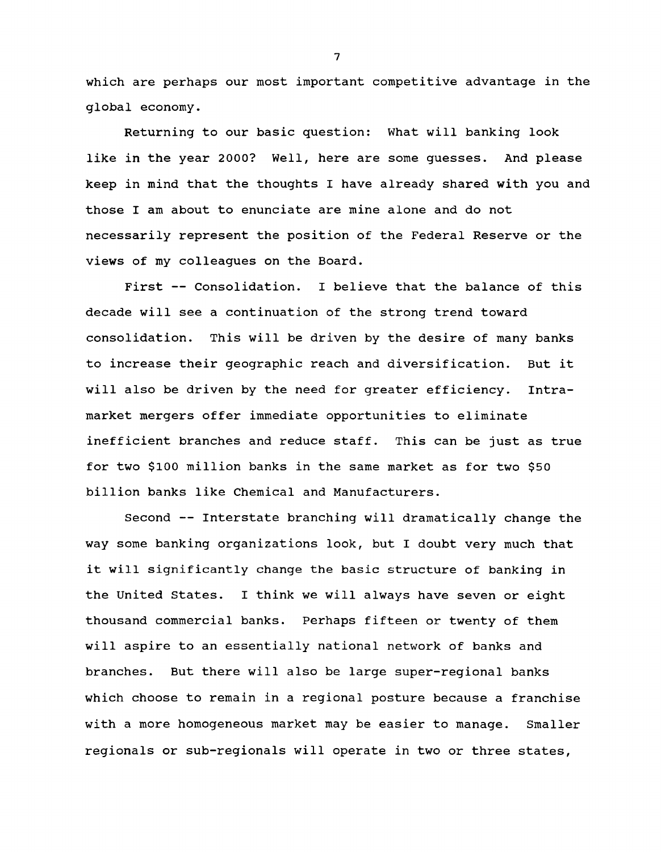**which are perhaps our most important competitive advantage in the global economy.**

**Returning to our basic question: What will banking look like in the year 2000? Well, here are some guesses. And please keep in mind that the thoughts I have already shared with you and those I am about to enunciate are mine alone and do not necessarily represent the position of the Federal Reserve or the views of my colleagues on the Board.**

**First — Consolidation. I believe that the balance of this decade will see a continuation of the strong trend toward consolidation. This will be driven by the desire of many banks to increase their geographic reach and diversification. But it will also be driven by the need for greater efficiency. Intramarket mergers offer immediate opportunities to eliminate inefficient branches and reduce staff. This can be just as true for two \$100 million banks in the same market as for two \$50 billion banks like Chemical and Manufacturers.**

**Second — Interstate branching will dramatically change the way some banking organizations look, but I doubt very much that it will significantly change the basic structure of banking in the United States. I think we will always have seven or eight thousand commercial banks. Perhaps fifteen or twenty of them will aspire to an essentially national network of banks and branches. But there will also be large super-regional banks which choose to remain in a regional posture because a franchise with a more homogeneous market may be easier to manage. Smaller regionals or sub-regionals will operate in two or three states,**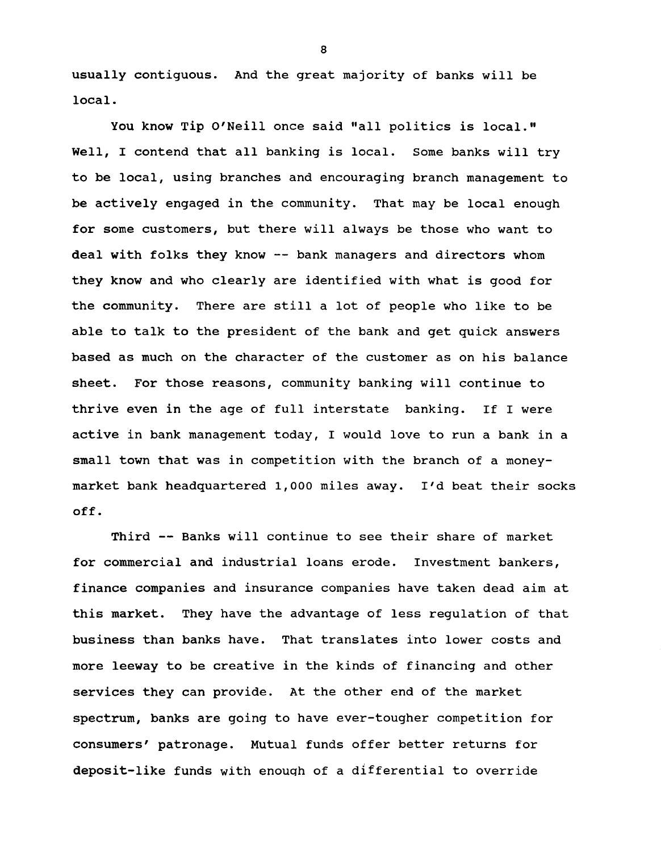**usually contiguous. And the great majority of banks will be local.**

**You know Tip O'Neill once said "all politics is local." Well, I contend that all banking is local. Some banks will try to be local, using branches and encouraging branch management to be actively engaged in the community. That may be local enough for some customers, but there will always be those who want to deal with folks they know — bank managers and directors whom they know and who clearly are identified with what is good for the community. There are still a lot of people who like to be able to talk to the president of the bank and get quick answers based as much on the character of the customer as on his balance sheet. For those reasons, community banking will continue to thrive even in the age of full interstate banking. If I were active in bank management today, I would love to run a bank in a small town that was in competition with the branch of a moneymarket bank headquartered 1,000 miles away. I'd beat their socks off.**

**Third — Banks will continue to see their share of market for commercial and industrial loans erode. Investment bankers, finance companies and insurance companies have taken dead aim at this market. They have the advantage of less regulation of that business than banks have. That translates into lower costs and more leeway to be creative in the kinds of financing and other services they can provide. At the other end of the market spectrum, banks are going to have ever-tougher competition for consumers' patronage. Mutual funds offer better returns for deposit-like funds with enough of a differential to override**